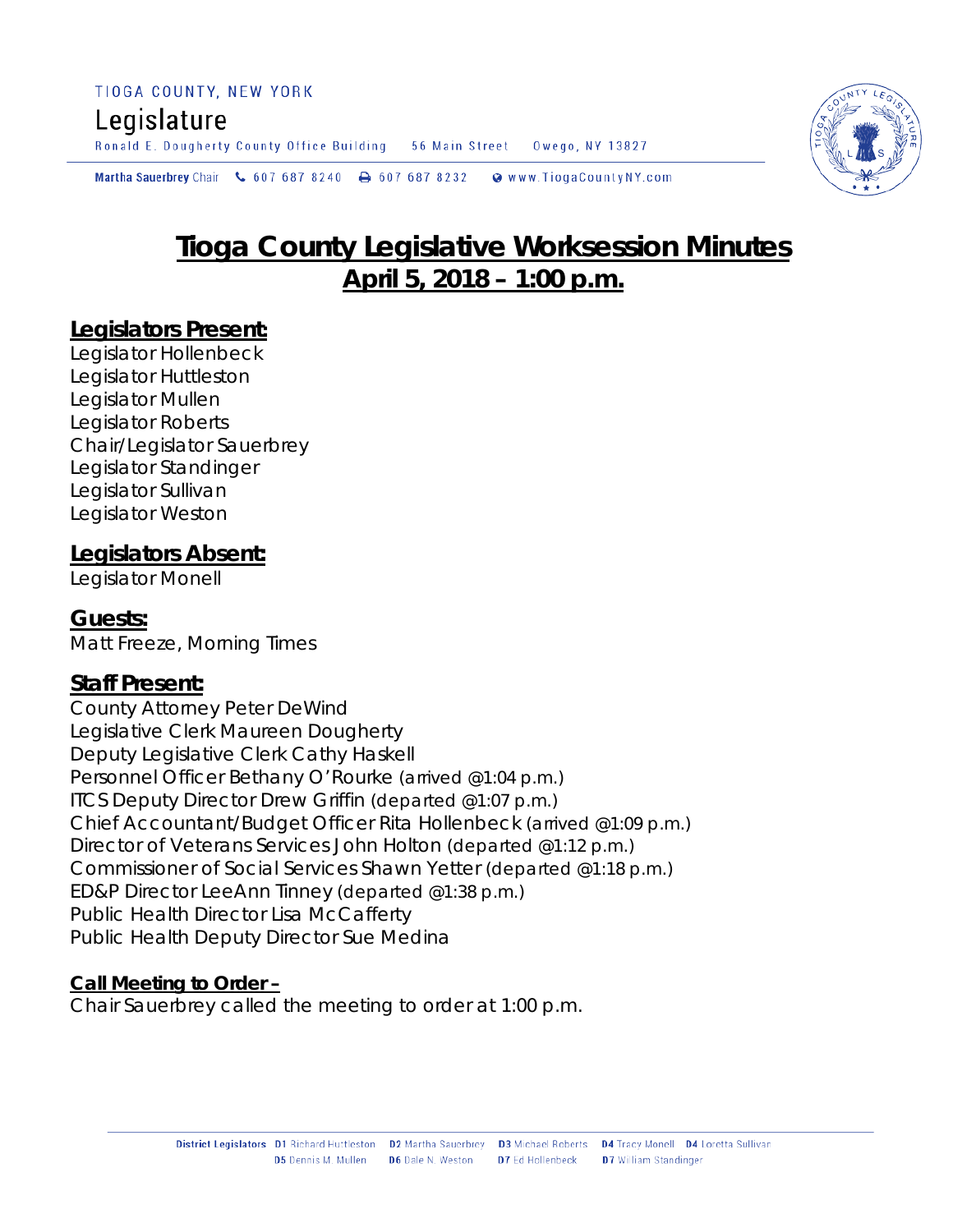#### TIOGA COUNTY, NEW YORK

# Legislature

Ronald E. Dougherty County Office Building 56 Main Street Owego, NY 13827

Martha Sauerbrey Chair & 607 687 8240  $\rightarrow$  607 687 8232 Www.TiogaCountyNY.com

# **Tioga County Legislative Worksession Minutes April 5, 2018 – 1:00 p.m.**

#### **Legislators Present:**

Legislator Hollenbeck Legislator Huttleston Legislator Mullen Legislator Roberts Chair/Legislator Sauerbrey Legislator Standinger Legislator Sullivan Legislator Weston

#### **Legislators Absent:**

Legislator Monell

**Guests:** Matt Freeze, Morning Times

## **Staff Present:**

County Attorney Peter DeWind Legislative Clerk Maureen Dougherty Deputy Legislative Clerk Cathy Haskell Personnel Officer Bethany O'Rourke *(arrived @1:04 p.m.)* ITCS Deputy Director Drew Griffin *(departed @1:07 p.m.)* Chief Accountant/Budget Officer Rita Hollenbeck *(arrived @1:09 p.m.)* Director of Veterans Services John Holton *(departed @1:12 p.m.)* Commissioner of Social Services Shawn Yetter *(departed @1:18 p.m.)* ED&P Director LeeAnn Tinney *(departed @1:38 p.m.)* Public Health Director Lisa McCafferty Public Health Deputy Director Sue Medina

#### **Call Meeting to Order –**

Chair Sauerbrey called the meeting to order at 1:00 p.m.

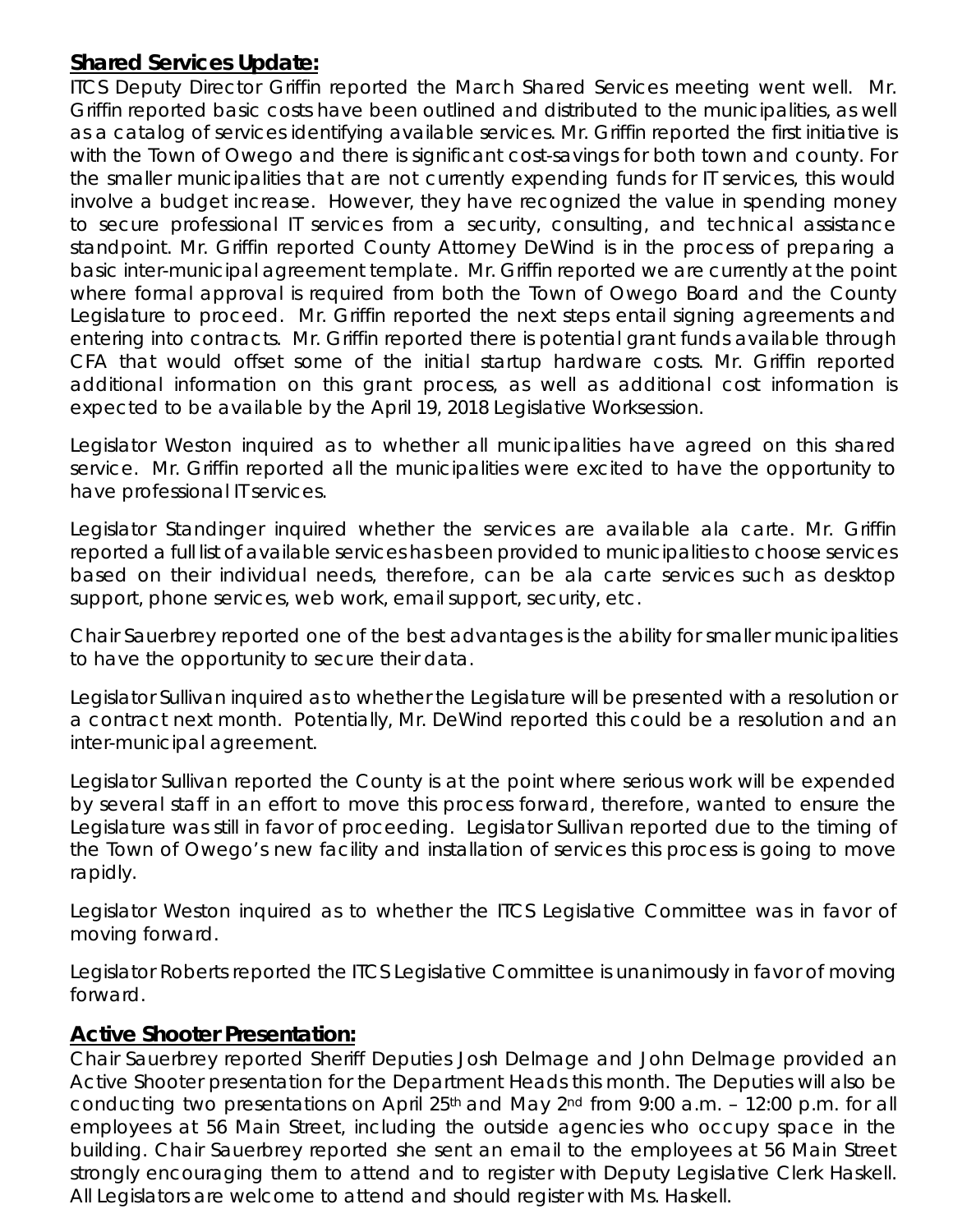## **Shared Services Update:**

ITCS Deputy Director Griffin reported the March Shared Services meeting went well. Mr. Griffin reported basic costs have been outlined and distributed to the municipalities, as well as a catalog of services identifying available services. Mr. Griffin reported the first initiative is with the Town of Owego and there is significant cost-savings for both town and county. For the smaller municipalities that are not currently expending funds for IT services, this would involve a budget increase. However, they have recognized the value in spending money to secure professional IT services from a security, consulting, and technical assistance standpoint. Mr. Griffin reported County Attorney DeWind is in the process of preparing a basic inter-municipal agreement template. Mr. Griffin reported we are currently at the point where formal approval is required from both the Town of Owego Board and the County Legislature to proceed. Mr. Griffin reported the next steps entail signing agreements and entering into contracts. Mr. Griffin reported there is potential grant funds available through CFA that would offset some of the initial startup hardware costs. Mr. Griffin reported additional information on this grant process, as well as additional cost information is expected to be available by the April 19, 2018 Legislative Worksession.

Legislator Weston inquired as to whether all municipalities have agreed on this shared service. Mr. Griffin reported all the municipalities were excited to have the opportunity to have professional IT services.

Legislator Standinger inquired whether the services are available ala carte. Mr. Griffin reported a full list of available services has been provided to municipalities to choose services based on their individual needs, therefore, can be ala carte services such as desktop support, phone services, web work, email support, security, etc.

Chair Sauerbrey reported one of the best advantages is the ability for smaller municipalities to have the opportunity to secure their data.

Legislator Sullivan inquired as to whether the Legislature will be presented with a resolution or a contract next month. Potentially, Mr. DeWind reported this could be a resolution and an inter-municipal agreement.

Legislator Sullivan reported the County is at the point where serious work will be expended by several staff in an effort to move this process forward, therefore, wanted to ensure the Legislature was still in favor of proceeding. Legislator Sullivan reported due to the timing of the Town of Owego's new facility and installation of services this process is going to move rapidly.

Legislator Weston inquired as to whether the ITCS Legislative Committee was in favor of moving forward.

Legislator Roberts reported the ITCS Legislative Committee is unanimously in favor of moving forward.

## **Active Shooter Presentation:**

Chair Sauerbrey reported Sheriff Deputies Josh Delmage and John Delmage provided an Active Shooter presentation for the Department Heads this month. The Deputies will also be conducting two presentations on April  $25<sup>th</sup>$  and May  $2<sup>nd</sup>$  from 9:00 a.m. – 12:00 p.m. for all employees at 56 Main Street, including the outside agencies who occupy space in the building. Chair Sauerbrey reported she sent an email to the employees at 56 Main Street strongly encouraging them to attend and to register with Deputy Legislative Clerk Haskell. All Legislators are welcome to attend and should register with Ms. Haskell.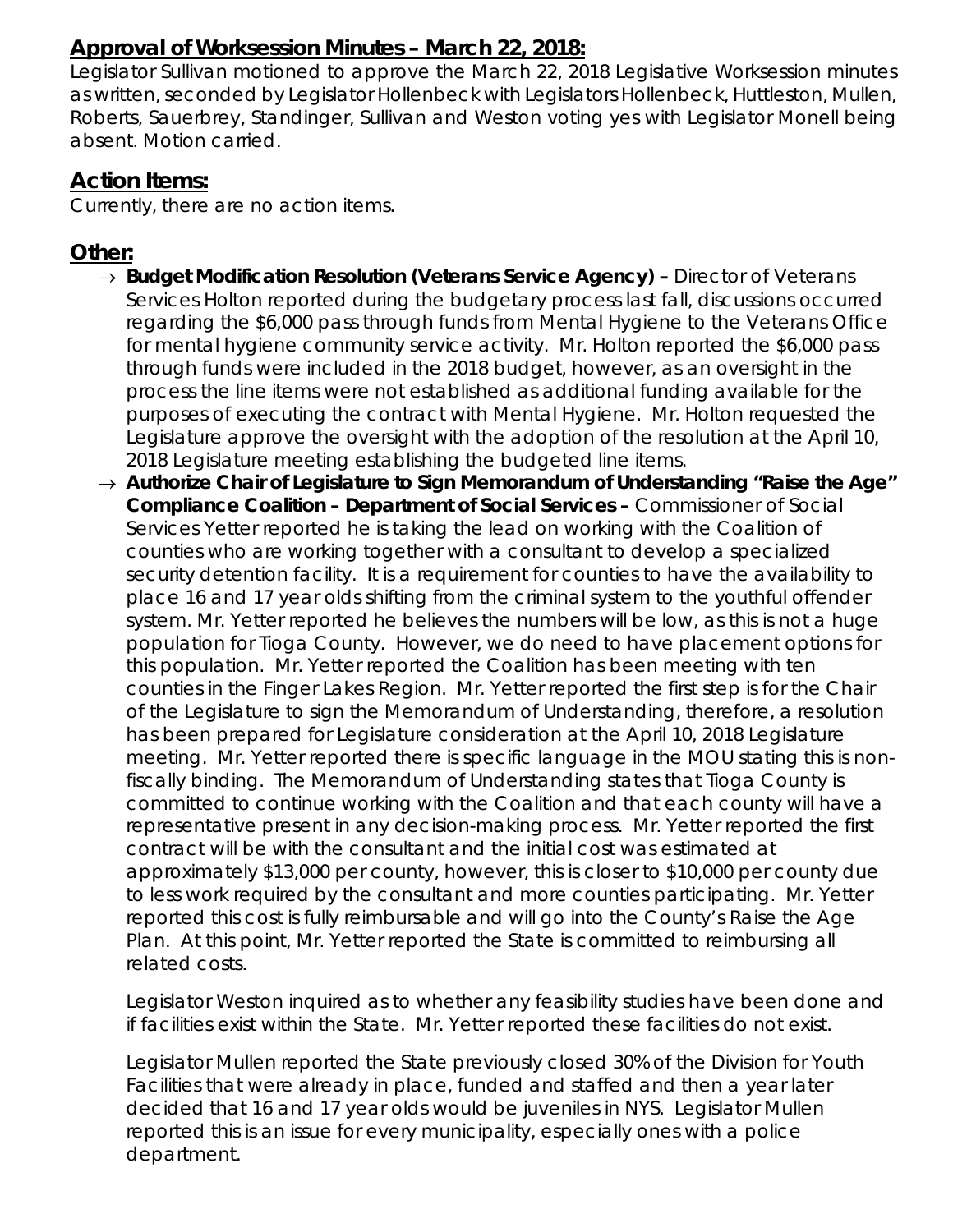## **Approval of Worksession Minutes – March 22, 2018:**

Legislator Sullivan motioned to approve the March 22, 2018 Legislative Worksession minutes as written, seconded by Legislator Hollenbeck with Legislators Hollenbeck, Huttleston, Mullen, Roberts, Sauerbrey, Standinger, Sullivan and Weston voting yes with Legislator Monell being absent. Motion carried.

## **Action Items:**

Currently, there are no action items.

## **Other:**

- → *Budget Modification Resolution (Veterans Service Agency) –* Director of Veterans Services Holton reported during the budgetary process last fall, discussions occurred regarding the \$6,000 pass through funds from Mental Hygiene to the Veterans Office for mental hygiene community service activity. Mr. Holton reported the \$6,000 pass through funds were included in the 2018 budget, however, as an oversight in the process the line items were not established as additional funding available for the purposes of executing the contract with Mental Hygiene. Mr. Holton requested the Legislature approve the oversight with the adoption of the resolution at the April 10, 2018 Legislature meeting establishing the budgeted line items.
- → *Authorize Chair of Legislature to Sign Memorandum of Understanding "Raise the Age" Compliance Coalition – Department of Social Services –* Commissioner of Social Services Yetter reported he is taking the lead on working with the Coalition of counties who are working together with a consultant to develop a specialized security detention facility. It is a requirement for counties to have the availability to place 16 and 17 year olds shifting from the criminal system to the youthful offender system. Mr. Yetter reported he believes the numbers will be low, as this is not a huge population for Tioga County. However, we do need to have placement options for this population. Mr. Yetter reported the Coalition has been meeting with ten counties in the Finger Lakes Region. Mr. Yetter reported the first step is for the Chair of the Legislature to sign the Memorandum of Understanding, therefore, a resolution has been prepared for Legislature consideration at the April 10, 2018 Legislature meeting. Mr. Yetter reported there is specific language in the MOU stating this is nonfiscally binding. The Memorandum of Understanding states that Tioga County is committed to continue working with the Coalition and that each county will have a representative present in any decision-making process. Mr. Yetter reported the first contract will be with the consultant and the initial cost was estimated at approximately \$13,000 per county, however, this is closer to \$10,000 per county due to less work required by the consultant and more counties participating. Mr. Yetter reported this cost is fully reimbursable and will go into the County's Raise the Age Plan. At this point, Mr. Yetter reported the State is committed to reimbursing all related costs.

Legislator Weston inquired as to whether any feasibility studies have been done and if facilities exist within the State. Mr. Yetter reported these facilities do not exist.

Legislator Mullen reported the State previously closed 30% of the Division for Youth Facilities that were already in place, funded and staffed and then a year later decided that 16 and 17 year olds would be juveniles in NYS. Legislator Mullen reported this is an issue for every municipality, especially ones with a police department.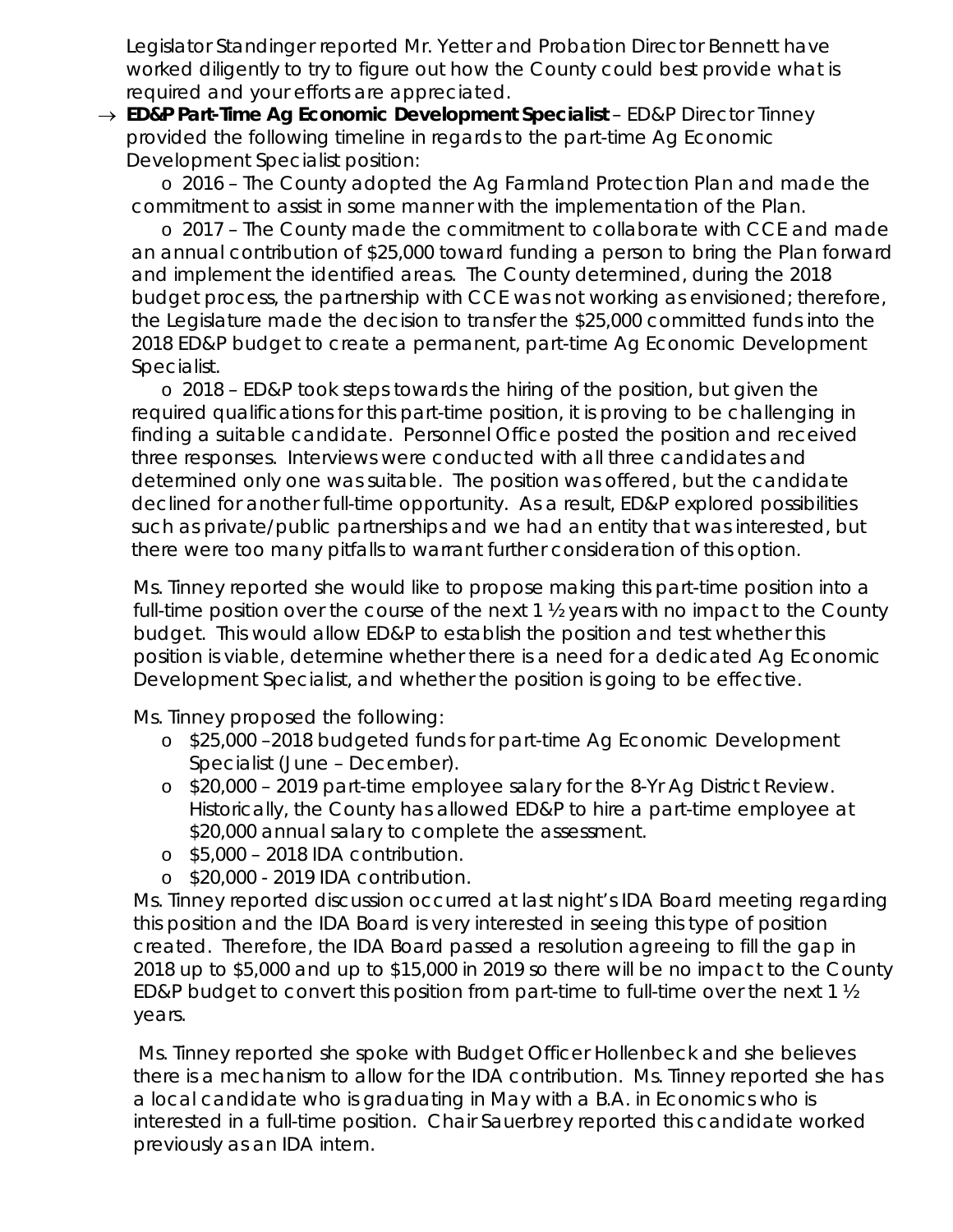Legislator Standinger reported Mr. Yetter and Probation Director Bennett have worked diligently to try to figure out how the County could best provide what is required and your efforts are appreciated.

→ *ED&P Part-Time Ag Economic Development Specialist – ED&P Director Tinney* provided the following timeline in regards to the part-time Ag Economic Development Specialist position:

o 2016 – The County adopted the Ag Farmland Protection Plan and made the commitment to assist in some manner with the implementation of the Plan.

o 2017 – The County made the commitment to collaborate with CCE and made an annual contribution of \$25,000 toward funding a person to bring the Plan forward and implement the identified areas. The County determined, during the 2018 budget process, the partnership with CCE was not working as envisioned; therefore, the Legislature made the decision to transfer the \$25,000 committed funds into the 2018 ED&P budget to create a permanent, part-time Ag Economic Development Specialist.

o 2018 – ED&P took steps towards the hiring of the position, but given the required qualifications for this part-time position, it is proving to be challenging in finding a suitable candidate. Personnel Office posted the position and received three responses. Interviews were conducted with all three candidates and determined only one was suitable. The position was offered, but the candidate declined for another full-time opportunity. As a result, ED&P explored possibilities such as private/public partnerships and we had an entity that was interested, but there were too many pitfalls to warrant further consideration of this option.

Ms. Tinney reported she would like to propose making this part-time position into a full-time position over the course of the next 1 ½ years with no impact to the County budget. This would allow ED&P to establish the position and test whether this position is viable, determine whether there is a need for a dedicated Ag Economic Development Specialist, and whether the position is going to be effective.

Ms. Tinney proposed the following:

- o \$25,000 –2018 budgeted funds for part-time Ag Economic Development Specialist (June – December).
- o \$20,000 2019 part-time employee salary for the 8-Yr Ag District Review. Historically, the County has allowed ED&P to hire a part-time employee at \$20,000 annual salary to complete the assessment.
- o \$5,000 2018 IDA contribution.
- o \$20,000 2019 IDA contribution.

Ms. Tinney reported discussion occurred at last night's IDA Board meeting regarding this position and the IDA Board is very interested in seeing this type of position created. Therefore, the IDA Board passed a resolution agreeing to fill the gap in 2018 up to \$5,000 and up to \$15,000 in 2019 so there will be no impact to the County ED&P budget to convert this position from part-time to full-time over the next 1 ½ years.

Ms. Tinney reported she spoke with Budget Officer Hollenbeck and she believes there is a mechanism to allow for the IDA contribution. Ms. Tinney reported she has a local candidate who is graduating in May with a B.A. in Economics who is interested in a full-time position. Chair Sauerbrey reported this candidate worked previously as an IDA intern.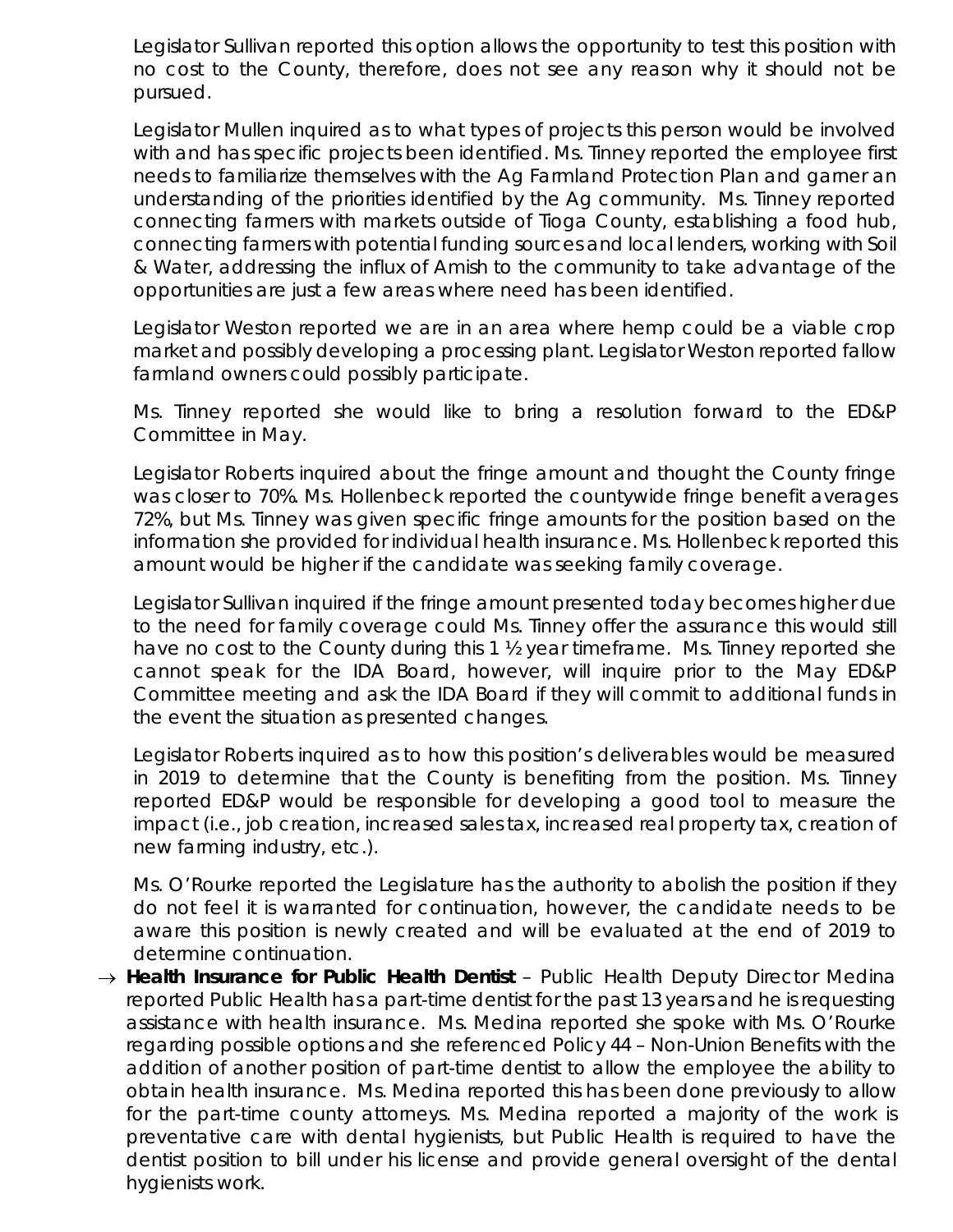Legislator Sullivan reported this option allows the opportunity to test this position with no cost to the County, therefore, does not see any reason why it should not be pursued.

Legislator Mullen inquired as to what types of projects this person would be involved with and has specific projects been identified. Ms. Tinney reported the employee first needs to familiarize themselves with the Ag Farmland Protection Plan and garner an understanding of the priorities identified by the Ag community. Ms. Tinney reported connecting farmers with markets outside of Tioga County, establishing a food hub, connecting farmers with potential funding sources and local lenders, working with Soil & Water, addressing the influx of Amish to the community to take advantage of the opportunities are just a few areas where need has been identified.

Legislator Weston reported we are in an area where hemp could be a viable crop market and possibly developing a processing plant. Legislator Weston reported fallow farmland owners could possibly participate.

Ms. Tinney reported she would like to bring a resolution forward to the ED&P Committee in May.

Legislator Roberts inquired about the fringe amount and thought the County fringe was closer to 70%. Ms. Hollenbeck reported the countywide fringe benefit averages 72%, but Ms. Tinney was given specific fringe amounts for the position based on the information she provided for individual health insurance. Ms. Hollenbeck reported this amount would be higher if the candidate was seeking family coverage.

Legislator Sullivan inquired if the fringe amount presented today becomes higher due to the need for family coverage could Ms. Tinney offer the assurance this would still have no cost to the County during this 1 ½ year timeframe. Ms. Tinney reported she cannot speak for the IDA Board, however, will inquire prior to the May ED&P Committee meeting and ask the IDA Board if they will commit to additional funds in the event the situation as presented changes.

Legislator Roberts inquired as to how this position's deliverables would be measured in 2019 to determine that the County is benefiting from the position. Ms. Tinney reported ED&P would be responsible for developing a good tool to measure the impact (i.e., job creation, increased sales tax, increased real property tax, creation of new farming industry, etc.).

Ms. O'Rourke reported the Legislature has the authority to abolish the position if they do not feel it is warranted for continuation, however, the candidate needs to be aware this position is newly created and will be evaluated at the end of 2019 to determine continuation.

→ *Health Insurance for Public Health Dentist* – Public Health Deputy Director Medina reported Public Health has a part-time dentist for the past 13 years and he is requesting assistance with health insurance. Ms. Medina reported she spoke with Ms. O'Rourke regarding possible options and she referenced Policy 44 – Non-Union Benefits with the addition of another position of part-time dentist to allow the employee the ability to obtain health insurance. Ms. Medina reported this has been done previously to allow for the part-time county attorneys. Ms. Medina reported a majority of the work is preventative care with dental hygienists, but Public Health is required to have the dentist position to bill under his license and provide general oversight of the dental hygienists work.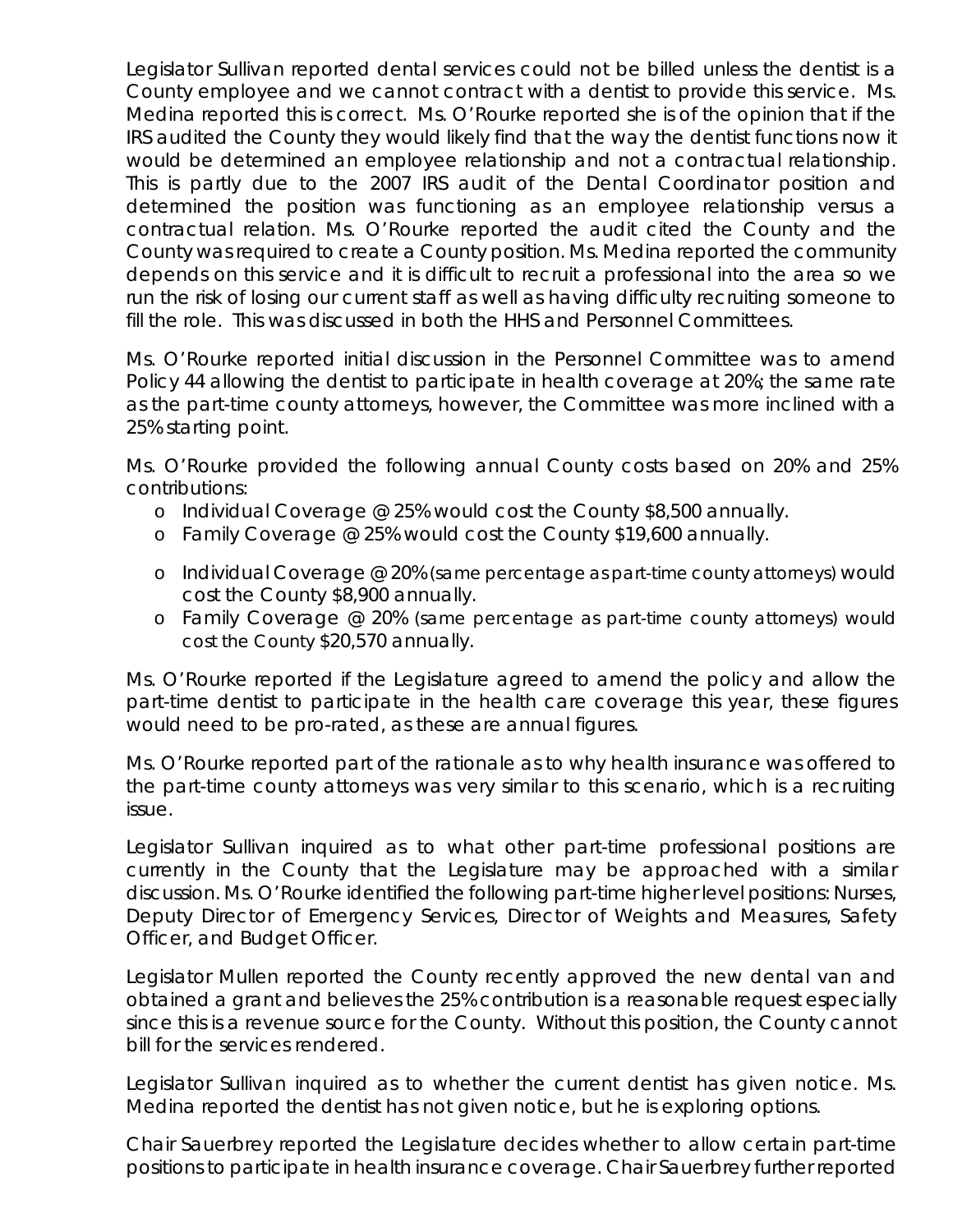Legislator Sullivan reported dental services could not be billed unless the dentist is a County employee and we cannot contract with a dentist to provide this service. Ms. Medina reported this is correct. Ms. O'Rourke reported she is of the opinion that if the IRS audited the County they would likely find that the way the dentist functions now it would be determined an employee relationship and not a contractual relationship. This is partly due to the 2007 IRS audit of the Dental Coordinator position and determined the position was functioning as an employee relationship versus a contractual relation. Ms. O'Rourke reported the audit cited the County and the County was required to create a County position. Ms. Medina reported the community depends on this service and it is difficult to recruit a professional into the area so we run the risk of losing our current staff as well as having difficulty recruiting someone to fill the role. This was discussed in both the HHS and Personnel Committees.

Ms. O'Rourke reported initial discussion in the Personnel Committee was to amend Policy 44 allowing the dentist to participate in health coverage at 20%; the same rate as the part-time county attorneys, however, the Committee was more inclined with a 25% starting point.

Ms. O'Rourke provided the following annual County costs based on 20% and 25% contributions:

- o Individual Coverage @ 25% would cost the County \$8,500 annually.
- o Family Coverage @ 25% would cost the County \$19,600 annually.
- o Individual Coverage @ 20% *(same percentage as part-time county attorneys)* would cost the County \$8,900 annually.
- o Family Coverage @ 20% *(same percentage as part-time county attorneys)* would cost the County \$20,570 annually.

Ms. O'Rourke reported if the Legislature agreed to amend the policy and allow the part-time dentist to participate in the health care coverage this year, these figures would need to be pro-rated, as these are annual figures.

Ms. O'Rourke reported part of the rationale as to why health insurance was offered to the part-time county attorneys was very similar to this scenario, which is a recruiting issue.

Legislator Sullivan inquired as to what other part-time professional positions are currently in the County that the Legislature may be approached with a similar discussion. Ms. O'Rourke identified the following part-time higher level positions: Nurses, Deputy Director of Emergency Services, Director of Weights and Measures, Safety Officer, and Budget Officer.

Legislator Mullen reported the County recently approved the new dental van and obtained a grant and believes the 25% contribution is a reasonable request especially since this is a revenue source for the County. Without this position, the County cannot bill for the services rendered.

Legislator Sullivan inquired as to whether the current dentist has given notice. Ms. Medina reported the dentist has not given notice, but he is exploring options.

Chair Sauerbrey reported the Legislature decides whether to allow certain part-time positions to participate in health insurance coverage. Chair Sauerbrey further reported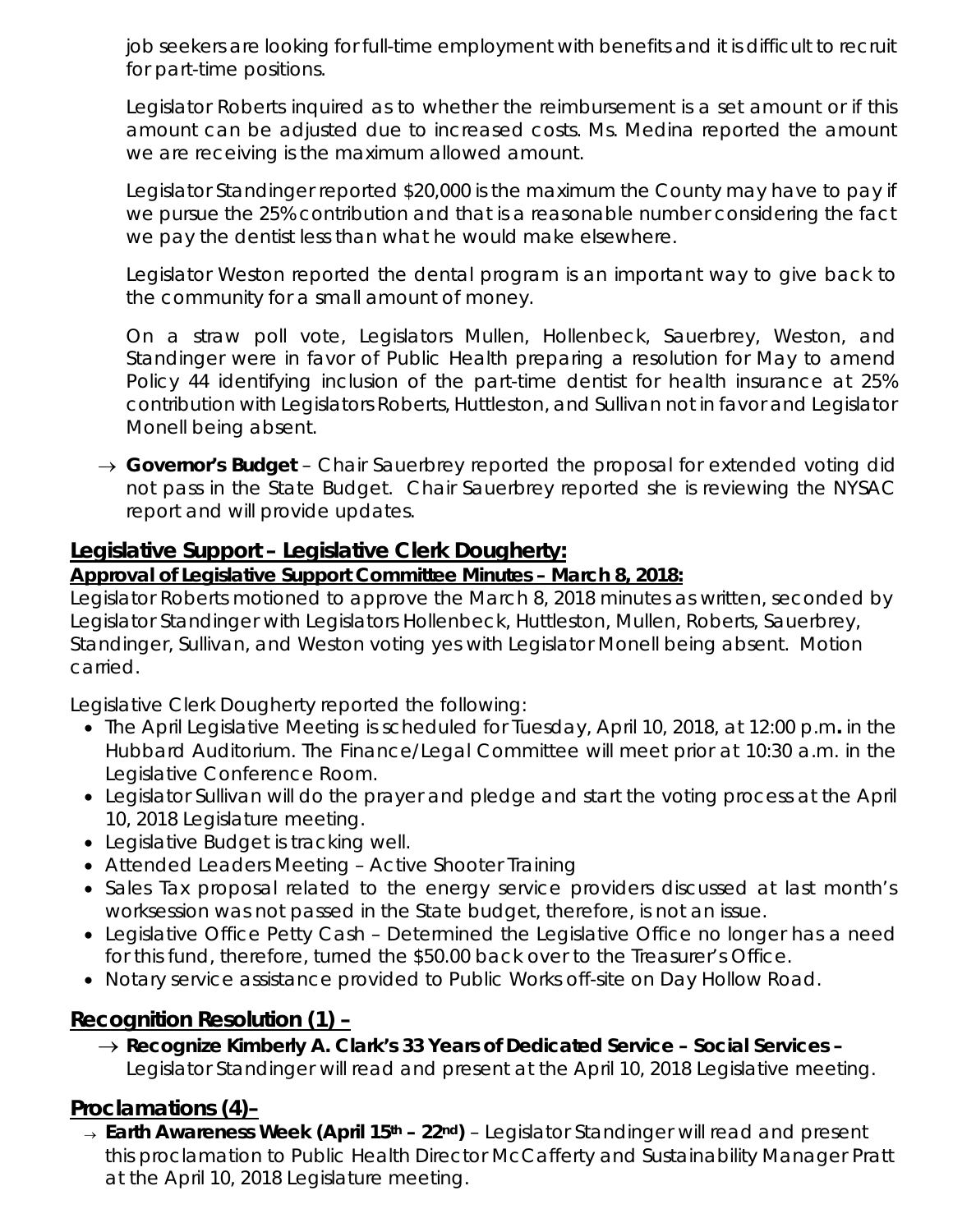job seekers are looking for full-time employment with benefits and it is difficult to recruit for part-time positions.

Legislator Roberts inquired as to whether the reimbursement is a set amount or if this amount can be adjusted due to increased costs. Ms. Medina reported the amount we are receiving is the maximum allowed amount.

Legislator Standinger reported \$20,000 is the maximum the County may have to pay if we pursue the 25% contribution and that is a reasonable number considering the fact we pay the dentist less than what he would make elsewhere.

Legislator Weston reported the dental program is an important way to give back to the community for a small amount of money.

On a straw poll vote, Legislators Mullen, Hollenbeck, Sauerbrey, Weston, and Standinger were in favor of Public Health preparing a resolution for May to amend Policy 44 identifying inclusion of the part-time dentist for health insurance at 25% contribution with Legislators Roberts, Huttleston, and Sullivan not in favor and Legislator Monell being absent.

→ *Governor's Budget* – Chair Sauerbrey reported the proposal for extended voting did not pass in the State Budget. Chair Sauerbrey reported she is reviewing the NYSAC report and will provide updates.

#### **Legislative Support – Legislative Clerk Dougherty:**

#### *Approval of Legislative Support Committee Minutes – March 8, 2018:*

Legislator Roberts motioned to approve the March 8, 2018 minutes as written, seconded by Legislator Standinger with Legislators Hollenbeck, Huttleston, Mullen, Roberts, Sauerbrey, Standinger, Sullivan, and Weston voting yes with Legislator Monell being absent. Motion carried.

Legislative Clerk Dougherty reported the following:

- The April Legislative Meeting is scheduled for Tuesday, April 10, 2018, at 12:00 p.m*.* in the Hubbard Auditorium. The Finance/Legal Committee will meet prior at 10:30 a.m. in the Legislative Conference Room.
- Legislator Sullivan will do the prayer and pledge and start the voting process at the April 10, 2018 Legislature meeting.
- Legislative Budget is tracking well.
- Attended Leaders Meeting Active Shooter Training
- Sales Tax proposal related to the energy service providers discussed at last month's worksession was not passed in the State budget, therefore, is not an issue.
- Legislative Office Petty Cash Determined the Legislative Office no longer has a need for this fund, therefore, turned the \$50.00 back over to the Treasurer's Office.
- Notary service assistance provided to Public Works off-site on Day Hollow Road.

# **Recognition Resolution (1) –**

→ *Recognize Kimberly A. Clark's 33 Years of Dedicated Service – Social Services –* Legislator Standinger will read and present at the April 10, 2018 Legislative meeting.

# **Proclamations (4)–**

<sup>→</sup> *Earth Awareness Week (April 15th – 22nd)* – Legislator Standinger will read and present this proclamation to Public Health Director McCafferty and Sustainability Manager Pratt at the April 10, 2018 Legislature meeting.